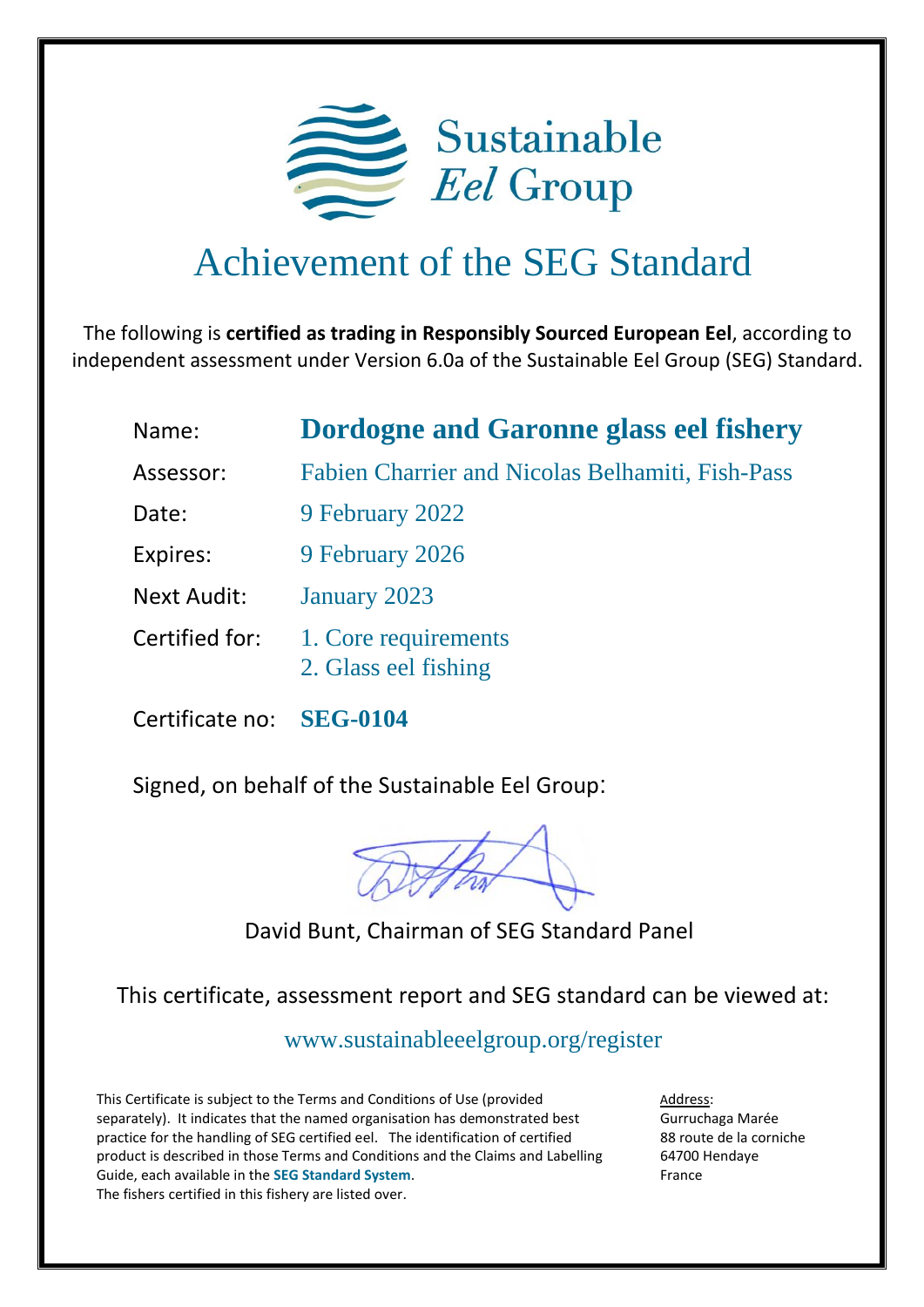

## Achievement of the SEG Standard

The following is **certified as trading in Responsibly Sourced European Eel**, according to independent assessment under Version 6.0a of the Sustainable Eel Group (SEG) Standard.

| Name:              | <b>Dordogne and Garonne glass eel fishery</b>    |
|--------------------|--------------------------------------------------|
| Assessor:          | Fabien Charrier and Nicolas Belhamiti, Fish-Pass |
| Date:              | 9 February 2022                                  |
| Expires:           | 9 February 2026                                  |
| <b>Next Audit:</b> | January 2023                                     |
| Certified for:     | 1. Core requirements<br>2. Glass eel fishing     |

Certificate no: **SEG-0104**

Signed, on behalf of the Sustainable Eel Group:

David Bunt, Chairman of SEG Standard Panel

This certificate, assessment report and SEG standard can be viewed at:

<www.sustainableeelgroup.org/register>

This Certificate is subject to the Terms and Conditions of Use (provided separately). It indicates that the named organisation has demonstrated best practice for the handling of SEG certified eel. The identification of certified product is described in those Terms and Conditions and the Claims and Labelling Guide, each available in the **[SEG Standard System](https://www.sustainableeelgroup.org/the-seg-standard-system/)**. The fishers certified in this fishery are listed over.

Address: Gurruchaga Marée 88 route de la corniche 64700 Hendaye France